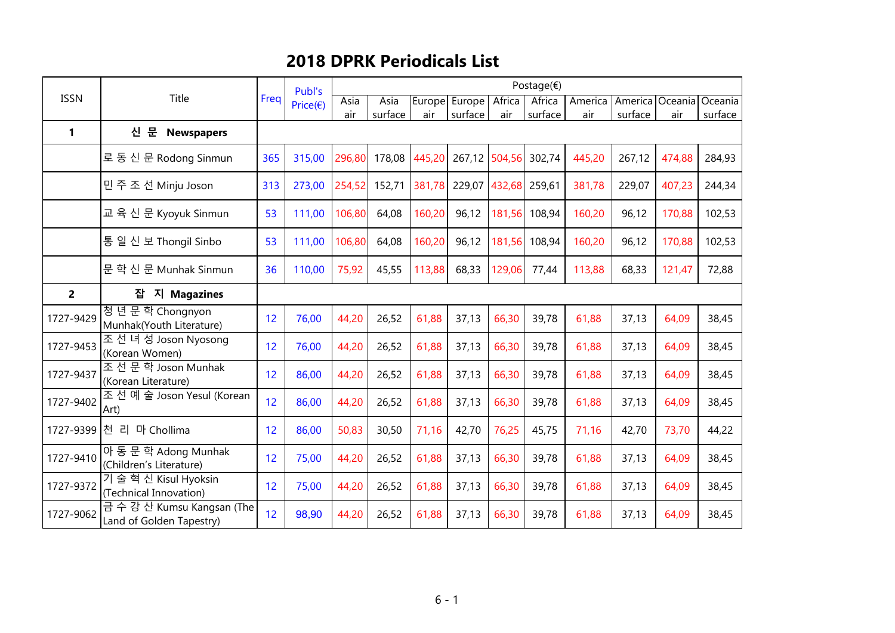## 2018 DPRK Periodicals List

|                | Title                                               | Freq | Publ's             | Postage $(\epsilon)$ |         |        |               |        |         |         |                 |        |         |  |  |
|----------------|-----------------------------------------------------|------|--------------------|----------------------|---------|--------|---------------|--------|---------|---------|-----------------|--------|---------|--|--|
| <b>ISSN</b>    |                                                     |      | Price $(\epsilon)$ | Asia                 | Asia    |        | Europe Europe | Africa | Africa  | America | America Oceania |        | Oceania |  |  |
|                |                                                     |      |                    | air                  | surface | air    | surface       | air    | surface | air     | surface         | air    | surface |  |  |
| 1              | 문<br>신<br><b>Newspapers</b>                         |      |                    |                      |         |        |               |        |         |         |                 |        |         |  |  |
|                | 로 동 신 문 Rodong Sinmun                               | 365  | 315,00             | 296,80               | 178,08  | 445,20 | 267,12 504,56 |        | 302,74  | 445,20  | 267,12          | 474,88 | 284,93  |  |  |
|                | 민주조선 Minju Joson                                    | 313  | 273,00             | 254,52               | 152,71  | 381,78 | 229,07 432,68 |        | 259,61  | 381,78  | 229,07          | 407,23 | 244,34  |  |  |
|                | 교육 신 문 Kyoyuk Sinmun                                | 53   | 111,00             | 106,80               | 64,08   | 160,20 | 96,12         | 181,56 | 108,94  | 160,20  | 96,12           | 170,88 | 102,53  |  |  |
|                | 통일신 보 Thongil Sinbo                                 | 53   | 111,00             | 106,80               | 64,08   | 160,20 | 96,12         | 181,56 | 108,94  | 160,20  | 96,12           | 170,88 | 102,53  |  |  |
|                | 문 학 신 문 Munhak Sinmun                               | 36   | 110,00             | 75,92                | 45,55   | 113,88 | 68,33         | 129,06 | 77,44   | 113,88  | 68,33           | 121,47 | 72,88   |  |  |
| $\overline{2}$ | 잡<br>지 Magazines                                    |      |                    |                      |         |        |               |        |         |         |                 |        |         |  |  |
| 1727-9429      | 정년문학 Chongnyon<br>Munhak(Youth Literature)          | 12   | 76,00              | 44,20                | 26,52   | 61,88  | 37,13         | 66,30  | 39,78   | 61,88   | 37,13           | 64,09  | 38,45   |  |  |
| 1727-9453      | 조 선 녀 성 Joson Nyosong<br>(Korean Women)             | 12   | 76,00              | 44,20                | 26,52   | 61,88  | 37,13         | 66,30  | 39,78   | 61,88   | 37,13           | 64,09  | 38,45   |  |  |
| 1727-9437      | 조선문학 Joson Munhak<br>(Korean Literature)            | 12   | 86,00              | 44,20                | 26,52   | 61,88  | 37,13         | 66,30  | 39,78   | 61,88   | 37,13           | 64,09  | 38,45   |  |  |
| 1727-9402      | 조 선 예 술 Joson Yesul (Korean<br>Art)                 | 12   | 86,00              | 44,20                | 26,52   | 61,88  | 37,13         | 66,30  | 39,78   | 61,88   | 37,13           | 64,09  | 38,45   |  |  |
| 1727-9399      | 천 리 마 Chollima                                      | 12   | 86,00              | 50,83                | 30,50   | 71,16  | 42,70         | 76,25  | 45,75   | 71,16   | 42,70           | 73,70  | 44,22   |  |  |
| 1727-9410      | 아동문학 Adong Munhak<br>(Children's Literature)        | 12   | 75,00              | 44,20                | 26,52   | 61,88  | 37,13         | 66,30  | 39,78   | 61,88   | 37,13           | 64,09  | 38,45   |  |  |
| 1727-9372      | 기술 혁신 Kisul Hyoksin<br>(Technical Innovation)       | 12   | 75,00              | 44,20                | 26,52   | 61,88  | 37,13         | 66,30  | 39,78   | 61,88   | 37,13           | 64,09  | 38,45   |  |  |
| 1727-9062      | 금수강산 Kumsu Kangsan (The<br>Land of Golden Tapestry) | 12   | 98,90              | 44,20                | 26,52   | 61,88  | 37,13         | 66,30  | 39,78   | 61,88   | 37,13           | 64,09  | 38,45   |  |  |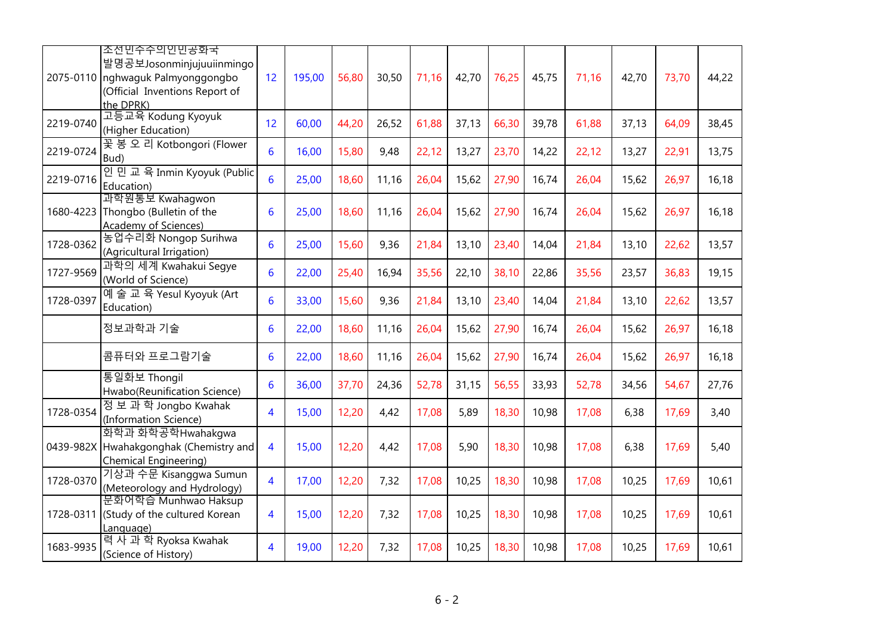|           | 조선민수수의인민공화국<br>발명공보Josonminjujuuiinmingo<br>2075-0110 nghwaguk Palmyonggongbo<br>(Official Inventions Report of<br>the DPRK) | 12              | 195,00 | 56,80 | 30,50 | 71,16 | 42,70 | 76,25 | 45,75 | 71,16 | 42,70 | 73,70 | 44,22 |
|-----------|------------------------------------------------------------------------------------------------------------------------------|-----------------|--------|-------|-------|-------|-------|-------|-------|-------|-------|-------|-------|
| 2219-0740 | 고등교육 Kodung Kyoyuk<br>(Higher Education)                                                                                     | 12              | 60,00  | 44,20 | 26,52 | 61,88 | 37,13 | 66,30 | 39,78 | 61,88 | 37,13 | 64,09 | 38,45 |
| 2219-0724 | 꽃 봉 오 리 Kotbongori (Flower<br>Bud)                                                                                           | $6\phantom{1}6$ | 16,00  | 15,80 | 9,48  | 22,12 | 13,27 | 23,70 | 14,22 | 22,12 | 13,27 | 22,91 | 13,75 |
| 2219-0716 | 인 민 교 육 Inmin Kyoyuk (Public<br>Education)                                                                                   | 6               | 25,00  | 18,60 | 11,16 | 26,04 | 15,62 | 27,90 | 16,74 | 26,04 | 15,62 | 26,97 | 16,18 |
| 1680-4223 | 과학원통보 Kwahagwon<br>Thongbo (Bulletin of the<br>Academy of Sciences)                                                          | 6               | 25,00  | 18,60 | 11,16 | 26,04 | 15,62 | 27,90 | 16,74 | 26,04 | 15,62 | 26,97 | 16,18 |
| 1728-0362 | 농업수리화 Nongop Surihwa<br>(Agricultural Irrigation)                                                                            | 6               | 25,00  | 15,60 | 9,36  | 21,84 | 13,10 | 23,40 | 14,04 | 21,84 | 13,10 | 22,62 | 13,57 |
| 1727-9569 | 과학의 세계 Kwahakui Segye<br>(World of Science)                                                                                  | $6\phantom{1}6$ | 22,00  | 25,40 | 16,94 | 35,56 | 22,10 | 38,10 | 22,86 | 35,56 | 23,57 | 36,83 | 19,15 |
| 1728-0397 | 예술 교 육 Yesul Kyoyuk (Art<br>Education)                                                                                       | 6               | 33,00  | 15,60 | 9,36  | 21,84 | 13,10 | 23,40 | 14,04 | 21,84 | 13,10 | 22,62 | 13,57 |
|           | 정보과학과 기술                                                                                                                     | 6               | 22,00  | 18,60 | 11,16 | 26,04 | 15,62 | 27,90 | 16,74 | 26,04 | 15,62 | 26,97 | 16,18 |
|           | 콤퓨터와 프로그람기술                                                                                                                  | 6               | 22,00  | 18,60 | 11,16 | 26,04 | 15,62 | 27,90 | 16,74 | 26,04 | 15,62 | 26,97 | 16,18 |
|           | 통일화보 Thongil<br>Hwabo(Reunification Science)                                                                                 | $6\phantom{1}6$ | 36,00  | 37,70 | 24,36 | 52,78 | 31,15 | 56,55 | 33,93 | 52,78 | 34,56 | 54,67 | 27,76 |
| 1728-0354 | 정 보 과 학 Jongbo Kwahak<br>(Information Science)                                                                               | 4               | 15,00  | 12,20 | 4,42  | 17,08 | 5,89  | 18,30 | 10,98 | 17,08 | 6,38  | 17,69 | 3,40  |
| 0439-982X | 화학과 화학공학Hwahakgwa<br>Hwahakgonghak (Chemistry and<br>Chemical Engineering)                                                   | $\overline{4}$  | 15,00  | 12,20 | 4,42  | 17,08 | 5,90  | 18,30 | 10,98 | 17,08 | 6,38  | 17,69 | 5,40  |
| 1728-0370 | 기상과 수문 Kisanggwa Sumun<br>(Meteorology and Hydrology)                                                                        | $\overline{4}$  | 17,00  | 12,20 | 7,32  | 17,08 | 10,25 | 18,30 | 10,98 | 17,08 | 10,25 | 17,69 | 10,61 |
| 1728-0311 | 문화어학습 Munhwao Haksup<br>(Study of the cultured Korean<br>Language)                                                           | $\overline{4}$  | 15,00  | 12,20 | 7,32  | 17,08 | 10,25 | 18,30 | 10,98 | 17,08 | 10,25 | 17,69 | 10,61 |
| 1683-9935 | 력 사 과 학 Ryoksa Kwahak<br>(Science of History)                                                                                | 4               | 19,00  | 12,20 | 7,32  | 17,08 | 10,25 | 18,30 | 10,98 | 17,08 | 10,25 | 17,69 | 10,61 |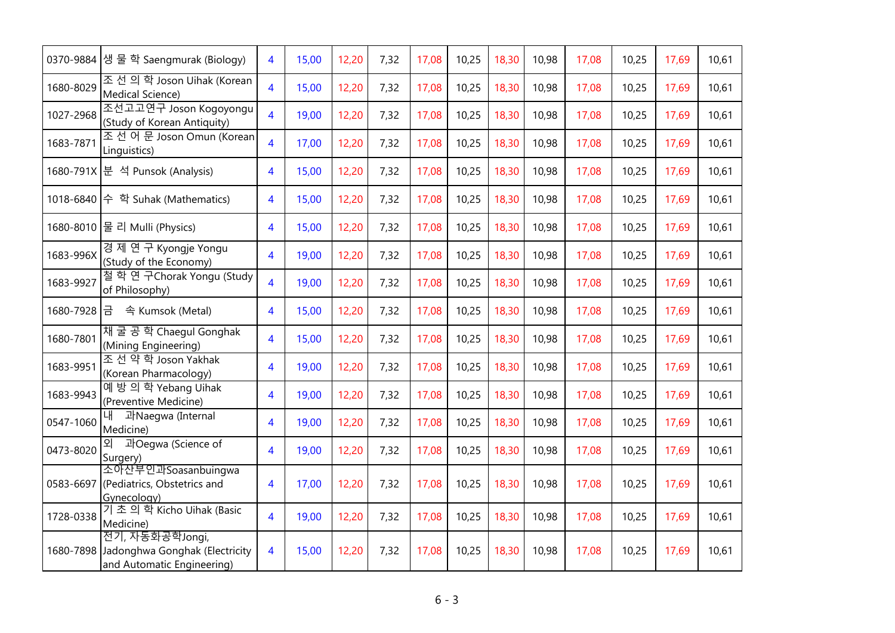| 0370-9884 | 생 물 학 Saengmurak (Biology)                                                      | 4                       | 15,00 | 12,20 | 7,32 | 17,08 | 10,25 | 18,30 | 10,98 | 17,08 | 10,25 | 17,69 | 10,61 |
|-----------|---------------------------------------------------------------------------------|-------------------------|-------|-------|------|-------|-------|-------|-------|-------|-------|-------|-------|
| 1680-8029 | 조선의학 Joson Uihak (Korean<br>Medical Science)                                    | $\overline{\mathbf{4}}$ | 15,00 | 12,20 | 7,32 | 17,08 | 10,25 | 18,30 | 10,98 | 17,08 | 10,25 | 17,69 | 10,61 |
| 1027-2968 | 조선고고연구 Joson Kogoyongu<br>(Study of Korean Antiquity)                           | $\overline{4}$          | 19,00 | 12,20 | 7,32 | 17,08 | 10,25 | 18,30 | 10,98 | 17,08 | 10,25 | 17,69 | 10,61 |
| 1683-7871 | 조선 어 문 Joson Omun (Korean<br>Linguistics)                                       | 4                       | 17,00 | 12,20 | 7,32 | 17,08 | 10,25 | 18,30 | 10,98 | 17,08 | 10,25 | 17,69 | 10,61 |
|           | 1680-791X 분 석 Punsok (Analysis)                                                 | 4                       | 15,00 | 12,20 | 7,32 | 17,08 | 10,25 | 18,30 | 10,98 | 17,08 | 10,25 | 17,69 | 10,61 |
|           | 1018-6840 수 학 Suhak (Mathematics)                                               | 4                       | 15,00 | 12,20 | 7,32 | 17,08 | 10,25 | 18,30 | 10,98 | 17,08 | 10,25 | 17,69 | 10,61 |
|           | 1680-8010 물 리 Mulli (Physics)                                                   | 4                       | 15,00 | 12,20 | 7,32 | 17,08 | 10,25 | 18,30 | 10,98 | 17,08 | 10,25 | 17,69 | 10,61 |
| 1683-996X | 경 제 연 구 Kyongje Yongu<br>(Study of the Economy)                                 | 4                       | 19,00 | 12,20 | 7,32 | 17,08 | 10,25 | 18,30 | 10,98 | 17,08 | 10,25 | 17,69 | 10,61 |
| 1683-9927 | 철학연구Chorak Yongu (Study<br>of Philosophy)                                       | $\overline{4}$          | 19,00 | 12,20 | 7,32 | 17,08 | 10,25 | 18,30 | 10,98 | 17,08 | 10,25 | 17,69 | 10,61 |
| 1680-7928 | 금 속 Kumsok (Metal)                                                              | $\overline{4}$          | 15,00 | 12,20 | 7,32 | 17,08 | 10,25 | 18,30 | 10,98 | 17,08 | 10,25 | 17,69 | 10,61 |
| 1680-7801 | 재굴공학 Chaegul Gonghak<br>(Mining Engineering)                                    | 4                       | 15,00 | 12,20 | 7,32 | 17,08 | 10,25 | 18,30 | 10,98 | 17,08 | 10,25 | 17,69 | 10,61 |
| 1683-9951 | 조선 약 학 Joson Yakhak<br>(Korean Pharmacology)                                    | 4                       | 19,00 | 12,20 | 7,32 | 17,08 | 10,25 | 18,30 | 10,98 | 17,08 | 10,25 | 17,69 | 10,61 |
| 1683-9943 | 예방의학 Yebang Uihak<br>(Preventive Medicine)                                      | 4                       | 19,00 | 12,20 | 7,32 | 17,08 | 10,25 | 18,30 | 10,98 | 17,08 | 10,25 | 17,69 | 10,61 |
| 0547-1060 | 과Naegwa (Internal<br>Medicine)                                                  | 4                       | 19,00 | 12,20 | 7,32 | 17,08 | 10,25 | 18,30 | 10,98 | 17,08 | 10,25 | 17,69 | 10,61 |
| 0473-8020 | 과Oegwa (Science of<br>Surgery)                                                  | 4                       | 19,00 | 12,20 | 7,32 | 17,08 | 10,25 | 18,30 | 10,98 | 17,08 | 10,25 | 17,69 | 10,61 |
| 0583-6697 | 소아산부인과Soasanbuingwa<br>(Pediatrics, Obstetrics and<br>Gynecology)               | 4                       | 17,00 | 12,20 | 7,32 | 17,08 | 10,25 | 18,30 | 10,98 | 17,08 | 10,25 | 17,69 | 10,61 |
| 1728-0338 | 기초의학 Kicho Uihak (Basic<br>Medicine)                                            | $\overline{4}$          | 19,00 | 12,20 | 7,32 | 17,08 | 10,25 | 18,30 | 10,98 | 17,08 | 10,25 | 17,69 | 10,61 |
| 1680-7898 | 전기, 자동화공학Jongi,<br>Jadonghwa Gonghak (Electricity<br>and Automatic Engineering) | 4                       | 15,00 | 12,20 | 7,32 | 17,08 | 10,25 | 18,30 | 10,98 | 17,08 | 10,25 | 17,69 | 10,61 |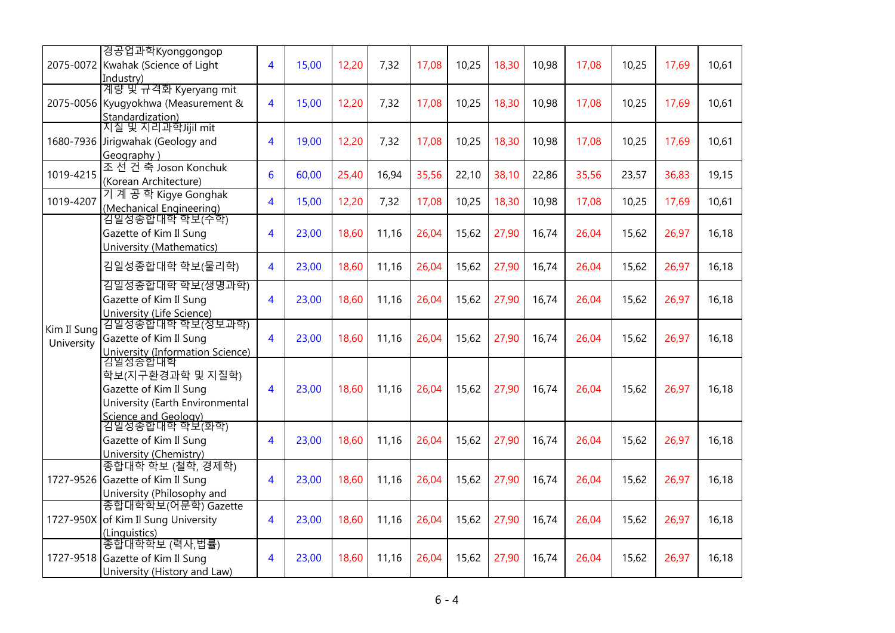|                           | 경공업과학Kyonggongop<br>2075-0072 Kwahak (Science of Light<br>Industry)                                              | 4                       | 15,00 | 12,20 | 7,32  | 17,08 | 10,25 | 18,30 | 10,98 | 17,08 | 10,25 | 17,69 | 10,61 |
|---------------------------|------------------------------------------------------------------------------------------------------------------|-------------------------|-------|-------|-------|-------|-------|-------|-------|-------|-------|-------|-------|
|                           | 계량 및 규격화 Kyeryang mit<br>2075-0056 Kyugyokhwa (Measurement &<br>Standardization)                                 | $\overline{4}$          | 15,00 | 12,20 | 7,32  | 17,08 | 10,25 | 18,30 | 10,98 | 17,08 | 10,25 | 17,69 | 10,61 |
| 1680-7936                 | 지질 및 지리과학Jijil mit<br>Jirigwahak (Geology and<br>Geography)                                                      | $\overline{4}$          | 19,00 | 12,20 | 7,32  | 17,08 | 10,25 | 18,30 | 10,98 | 17,08 | 10,25 | 17,69 | 10,61 |
| 1019-4215                 | 조 선 건 축 Joson Konchuk<br>(Korean Architecture)                                                                   | 6                       | 60,00 | 25,40 | 16,94 | 35,56 | 22,10 | 38,10 | 22,86 | 35,56 | 23,57 | 36,83 | 19,15 |
| 1019-4207                 | 기 계 공 학 Kigye Gonghak<br>(Mechanical Engineering)                                                                | $\overline{4}$          | 15,00 | 12,20 | 7,32  | 17,08 | 10,25 | 18,30 | 10,98 | 17,08 | 10,25 | 17,69 | 10,61 |
|                           | 김일성종합대학 학보(수학)<br>Gazette of Kim Il Sung<br>University (Mathematics)                                             | 4                       | 23,00 | 18,60 | 11,16 | 26,04 | 15,62 | 27,90 | 16,74 | 26,04 | 15,62 | 26,97 | 16,18 |
|                           | 김일성종합대학 학보(물리학)                                                                                                  | 4                       | 23,00 | 18,60 | 11,16 | 26,04 | 15,62 | 27,90 | 16,74 | 26,04 | 15,62 | 26,97 | 16,18 |
|                           | 김일성종합대학 학보(생명과학)<br>Gazette of Kim Il Sung<br>University (Life Science)                                          | $\overline{4}$          | 23,00 | 18,60 | 11,16 | 26,04 | 15,62 | 27,90 | 16,74 | 26,04 | 15,62 | 26,97 | 16,18 |
| Kim Il Sung<br>University | 김일성종합대학 학보(정보과학)<br>Gazette of Kim Il Sung<br>University (Information Science)                                   | $\overline{4}$          | 23,00 | 18,60 | 11,16 | 26,04 | 15,62 | 27,90 | 16,74 | 26,04 | 15,62 | 26,97 | 16,18 |
|                           | 김일성종합대학<br>학보(지구환경과학 및 지질학)<br>Gazette of Kim Il Sung<br>University (Earth Environmental<br>Science and Geology) | $\overline{4}$          | 23,00 | 18,60 | 11,16 | 26,04 | 15,62 | 27,90 | 16,74 | 26,04 | 15,62 | 26,97 | 16,18 |
|                           | 김일성종합대학 학보(화학)<br>Gazette of Kim Il Sung<br>University (Chemistry)                                               | $\overline{\mathbf{4}}$ | 23,00 | 18,60 | 11,16 | 26,04 | 15,62 | 27,90 | 16,74 | 26,04 | 15,62 | 26,97 | 16,18 |
| 1727-9526                 | 종합대학 학보 (철학, 경제학)<br>Gazette of Kim Il Sung<br>University (Philosophy and                                        | $\overline{4}$          | 23,00 | 18,60 | 11,16 | 26,04 | 15,62 | 27,90 | 16,74 | 26,04 | 15,62 | 26,97 | 16,18 |
| 1727-950X                 | 종합대학학보(어문학) Gazette<br>of Kim Il Sung University<br>(Linguistics)                                                | 4                       | 23,00 | 18,60 | 11,16 | 26,04 | 15,62 | 27,90 | 16,74 | 26,04 | 15,62 | 26,97 | 16,18 |
|                           | 종합대학학보 (력사,법률)<br>1727-9518 Gazette of Kim Il Sung<br>University (History and Law)                               | 4                       | 23,00 | 18,60 | 11,16 | 26,04 | 15,62 | 27,90 | 16,74 | 26,04 | 15,62 | 26,97 | 16,18 |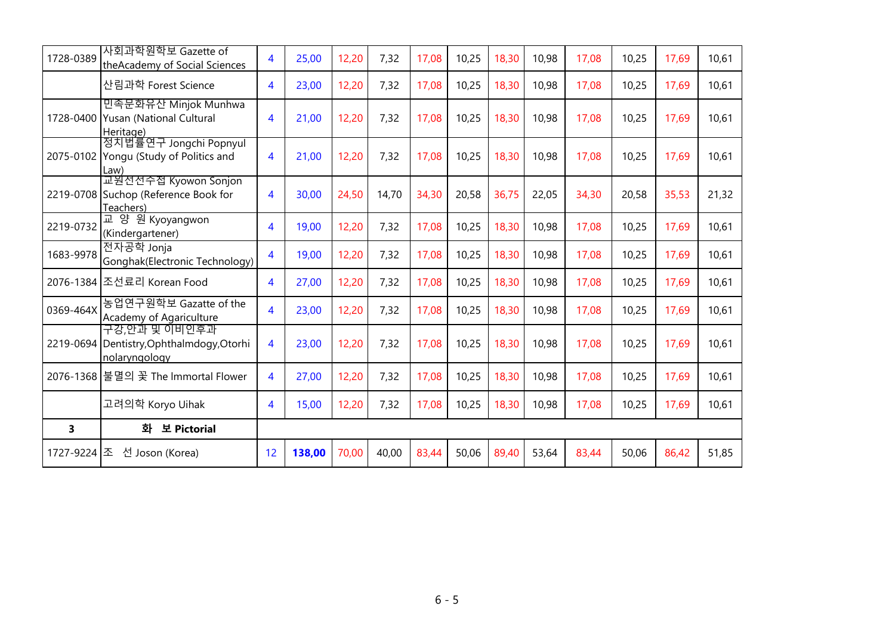| 1728-0389 | 사회과학원학보 Gazette of<br>theAcademy of Social Sciences                         | $\overline{4}$          | 25,00  | 12,20 | 7,32  | 17,08 | 10,25 | 18,30 | 10,98 | 17,08 | 10,25 | 17,69 | 10,61 |
|-----------|-----------------------------------------------------------------------------|-------------------------|--------|-------|-------|-------|-------|-------|-------|-------|-------|-------|-------|
|           | 산림과학 Forest Science                                                         | 4                       | 23,00  | 12,20 | 7,32  | 17,08 | 10,25 | 18,30 | 10,98 | 17,08 | 10,25 | 17,69 | 10,61 |
|           | 민족문화유산 Minjok Munhwa<br>1728-0400 Yusan (National Cultural<br>Heritage)     | 4                       | 21,00  | 12,20 | 7,32  | 17,08 | 10,25 | 18,30 | 10,98 | 17,08 | 10,25 | 17,69 | 10,61 |
|           | 정치법률연구 Jongchi Popnyul<br>2075-0102 Yongu (Study of Politics and<br>Law)    | 4                       | 21,00  | 12,20 | 7,32  | 17,08 | 10,25 | 18,30 | 10,98 | 17,08 | 10,25 | 17,69 | 10,61 |
|           | 교원선선수접 Kyowon Sonjon<br>2219-0708 Suchop (Reference Book for<br>Teachers)   | 4                       | 30,00  | 24,50 | 14,70 | 34,30 | 20,58 | 36,75 | 22,05 | 34,30 | 20,58 | 35,53 | 21,32 |
| 2219-0732 | 교 양 원 Kyoyangwon<br>(Kindergartener)                                        | 4                       | 19,00  | 12,20 | 7,32  | 17,08 | 10,25 | 18,30 | 10,98 | 17,08 | 10,25 | 17,69 | 10,61 |
| 1683-9978 | 전자공학 Jonja<br>Gonghak(Electronic Technology)                                | 4                       | 19,00  | 12,20 | 7,32  | 17,08 | 10,25 | 18,30 | 10,98 | 17,08 | 10,25 | 17,69 | 10,61 |
|           | 2076-1384 조선료리 Korean Food                                                  | 4                       | 27,00  | 12,20 | 7,32  | 17,08 | 10,25 | 18,30 | 10,98 | 17,08 | 10,25 | 17,69 | 10,61 |
| 0369-464X | 농업연구원학보 Gazatte of the<br>Academy of Agariculture                           | $\overline{\mathbf{A}}$ | 23,00  | 12,20 | 7,32  | 17,08 | 10,25 | 18,30 | 10,98 | 17,08 | 10,25 | 17,69 | 10,61 |
|           | 구강.안과 및 이비인후과<br>2219-0694 Dentistry, Ophthalmdogy, Otorhi<br>nolaryngology | 4                       | 23,00  | 12,20 | 7,32  | 17,08 | 10,25 | 18,30 | 10,98 | 17,08 | 10,25 | 17,69 | 10,61 |
| 2076-1368 | 불멸의 꽃 The Immortal Flower                                                   | 4                       | 27,00  | 12,20 | 7,32  | 17,08 | 10,25 | 18,30 | 10,98 | 17,08 | 10,25 | 17,69 | 10,61 |
|           | 고려의학 Koryo Uihak                                                            | 4                       | 15,00  | 12,20 | 7,32  | 17,08 | 10,25 | 18,30 | 10,98 | 17,08 | 10,25 | 17,69 | 10,61 |
| 3         | 화<br>보 Pictorial                                                            |                         |        |       |       |       |       |       |       |       |       |       |       |
| 1727-9224 | 조<br>선 Joson (Korea)                                                        | 12                      | 138,00 | 70,00 | 40,00 | 83,44 | 50,06 | 89,40 | 53,64 | 83,44 | 50,06 | 86,42 | 51,85 |